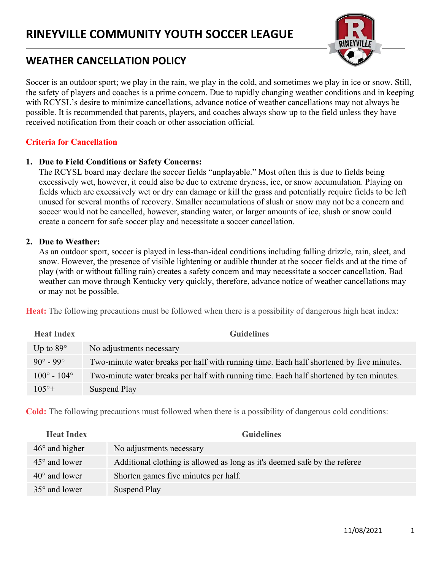

# WEATHER CANCELLATION POLICY

Soccer is an outdoor sport; we play in the rain, we play in the cold, and sometimes we play in ice or snow. Still, the safety of players and coaches is a prime concern. Due to rapidly changing weather conditions and in keeping with RCYSL's desire to minimize cancellations, advance notice of weather cancellations may not always be possible. It is recommended that parents, players, and coaches always show up to the field unless they have received notification from their coach or other association official.

# Criteria for Cancellation

## 1. Due to Field Conditions or Safety Concerns:

The RCYSL board may declare the soccer fields "unplayable." Most often this is due to fields being excessively wet, however, it could also be due to extreme dryness, ice, or snow accumulation. Playing on fields which are excessively wet or dry can damage or kill the grass and potentially require fields to be left unused for several months of recovery. Smaller accumulations of slush or snow may not be a concern and soccer would not be cancelled, however, standing water, or larger amounts of ice, slush or snow could create a concern for safe soccer play and necessitate a soccer cancellation.

#### 2. Due to Weather:

As an outdoor sport, soccer is played in less-than-ideal conditions including falling drizzle, rain, sleet, and snow. However, the presence of visible lightening or audible thunder at the soccer fields and at the time of play (with or without falling rain) creates a safety concern and may necessitate a soccer cancellation. Bad weather can move through Kentucky very quickly, therefore, advance notice of weather cancellations may or may not be possible.

Heat: The following precautions must be followed when there is a possibility of dangerous high heat index:

| <b>Heat Index</b>           | <b>Guidelines</b>                                                                        |
|-----------------------------|------------------------------------------------------------------------------------------|
| Up to $89^\circ$            | No adjustments necessary                                                                 |
| $90^{\circ} - 99^{\circ}$   | Two-minute water breaks per half with running time. Each half shortened by five minutes. |
| $100^{\circ} - 104^{\circ}$ | Two-minute water breaks per half with running time. Each half shortened by ten minutes.  |
| $105^{\circ}+$              | Suspend Play                                                                             |

Cold: The following precautions must followed when there is a possibility of dangerous cold conditions:

| <b>Guidelines</b>                                                         |
|---------------------------------------------------------------------------|
| No adjustments necessary                                                  |
| Additional clothing is allowed as long as it's deemed safe by the referee |
| Shorten games five minutes per half.                                      |
| Suspend Play                                                              |
|                                                                           |